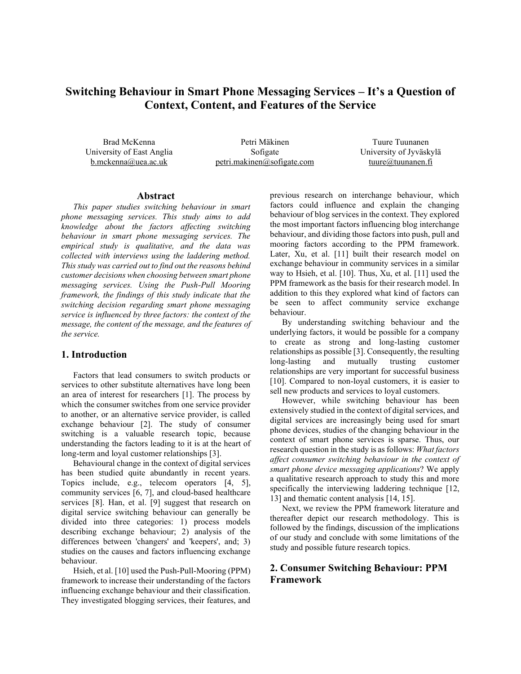# **Switching Behaviour in Smart Phone Messaging Services – It's a Question of Context, Content, and Features of the Service**

Brad McKenna University of East Anglia b.mckenna@uea.ac.uk

Petri Mäkinen Sofigate petri.makinen@sofigate.com

Tuure Tuunanen University of Jyväskylä tuure@tuunanen.fi

#### **Abstract**

*This paper studies switching behaviour in smart phone messaging services. This study aims to add knowledge about the factors affecting switching behaviour in smart phone messaging services. The empirical study is qualitative, and the data was collected with interviews using the laddering method. This study was carried out to find out the reasons behind customer decisions when choosing between smart phone messaging services. Using the Push-Pull Mooring framework, the findings of this study indicate that the switching decision regarding smart phone messaging service is influenced by three factors: the context of the message, the content of the message, and the features of the service.*

#### **1. Introduction**

Factors that lead consumers to switch products or services to other substitute alternatives have long been an area of interest for researchers [1]. The process by which the consumer switches from one service provider to another, or an alternative service provider, is called exchange behaviour [2]. The study of consumer switching is a valuable research topic, because understanding the factors leading to it is at the heart of long-term and loyal customer relationships [3].

Behavioural change in the context of digital services has been studied quite abundantly in recent years. Topics include, e.g., telecom operators [4, 5], community services [6, 7], and cloud-based healthcare services [8]. Han, et al. [9] suggest that research on digital service switching behaviour can generally be divided into three categories: 1) process models describing exchange behaviour; 2) analysis of the differences between 'changers' and 'keepers', and; 3) studies on the causes and factors influencing exchange behaviour.

Hsieh, et al. [10] used the Push-Pull-Mooring (PPM) framework to increase their understanding of the factors influencing exchange behaviour and their classification. They investigated blogging services, their features, and previous research on interchange behaviour, which factors could influence and explain the changing behaviour of blog services in the context. They explored the most important factors influencing blog interchange behaviour, and dividing those factors into push, pull and mooring factors according to the PPM framework. Later, Xu, et al. [11] built their research model on exchange behaviour in community services in a similar way to Hsieh, et al. [10]. Thus, Xu, et al. [11] used the PPM framework as the basis for their research model. In addition to this they explored what kind of factors can be seen to affect community service exchange behaviour.

By understanding switching behaviour and the underlying factors, it would be possible for a company to create as strong and long-lasting customer relationships as possible [3]. Consequently, the resulting long-lasting and mutually trusting customer relationships are very important for successful business [10]. Compared to non-loyal customers, it is easier to sell new products and services to loyal customers.

However, while switching behaviour has been extensively studied in the context of digital services, and digital services are increasingly being used for smart phone devices, studies of the changing behaviour in the context of smart phone services is sparse. Thus, our research question in the study is as follows: *What factors affect consumer switching behaviour in the context of smart phone device messaging applications*? We apply a qualitative research approach to study this and more specifically the interviewing laddering technique [12, 13] and thematic content analysis [14, 15].

Next, we review the PPM framework literature and thereafter depict our research methodology. This is followed by the findings, discussion of the implications of our study and conclude with some limitations of the study and possible future research topics.

## **2. Consumer Switching Behaviour: PPM Framework**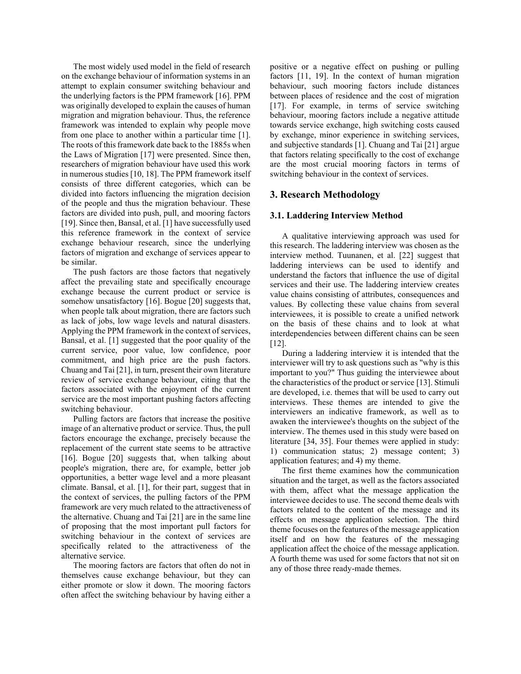The most widely used model in the field of research on the exchange behaviour of information systems in an attempt to explain consumer switching behaviour and the underlying factors is the PPM framework [16]. PPM was originally developed to explain the causes of human migration and migration behaviour. Thus, the reference framework was intended to explain why people move from one place to another within a particular time [1]. The roots of this framework date back to the 1885s when the Laws of Migration [17] were presented. Since then, researchers of migration behaviour have used this work in numerous studies [10, 18]. The PPM framework itself consists of three different categories, which can be divided into factors influencing the migration decision of the people and thus the migration behaviour. These factors are divided into push, pull, and mooring factors [19]. Since then, Bansal, et al. [1] have successfully used this reference framework in the context of service exchange behaviour research, since the underlying factors of migration and exchange of services appear to be similar.

The push factors are those factors that negatively affect the prevailing state and specifically encourage exchange because the current product or service is somehow unsatisfactory [16]. Bogue [20] suggests that, when people talk about migration, there are factors such as lack of jobs, low wage levels and natural disasters. Applying the PPM framework in the context of services, Bansal, et al. [1] suggested that the poor quality of the current service, poor value, low confidence, poor commitment, and high price are the push factors. Chuang and Tai [21], in turn, present their own literature review of service exchange behaviour, citing that the factors associated with the enjoyment of the current service are the most important pushing factors affecting switching behaviour.

Pulling factors are factors that increase the positive image of an alternative product or service. Thus, the pull factors encourage the exchange, precisely because the replacement of the current state seems to be attractive [16]. Bogue [20] suggests that, when talking about people's migration, there are, for example, better job opportunities, a better wage level and a more pleasant climate. Bansal, et al. [1], for their part, suggest that in the context of services, the pulling factors of the PPM framework are very much related to the attractiveness of the alternative. Chuang and Tai [21] are in the same line of proposing that the most important pull factors for switching behaviour in the context of services are specifically related to the attractiveness of the alternative service.

The mooring factors are factors that often do not in themselves cause exchange behaviour, but they can either promote or slow it down. The mooring factors often affect the switching behaviour by having either a

positive or a negative effect on pushing or pulling factors [11, 19]. In the context of human migration behaviour, such mooring factors include distances between places of residence and the cost of migration [17]. For example, in terms of service switching behaviour, mooring factors include a negative attitude towards service exchange, high switching costs caused by exchange, minor experience in switching services, and subjective standards [1]. Chuang and Tai [21] argue that factors relating specifically to the cost of exchange are the most crucial mooring factors in terms of switching behaviour in the context of services.

#### **3. Research Methodology**

#### **3.1. Laddering Interview Method**

A qualitative interviewing approach was used for this research. The laddering interview was chosen as the interview method. Tuunanen, et al. [22] suggest that laddering interviews can be used to identify and understand the factors that influence the use of digital services and their use. The laddering interview creates value chains consisting of attributes, consequences and values. By collecting these value chains from several interviewees, it is possible to create a unified network on the basis of these chains and to look at what interdependencies between different chains can be seen [12].

During a laddering interview it is intended that the interviewer will try to ask questions such as "why is this important to you?" Thus guiding the interviewee about the characteristics of the product or service [13]. Stimuli are developed, i.e. themes that will be used to carry out interviews. These themes are intended to give the interviewers an indicative framework, as well as to awaken the interviewee's thoughts on the subject of the interview. The themes used in this study were based on literature [34, 35]. Four themes were applied in study: 1) communication status; 2) message content; 3) application features; and 4) my theme.

The first theme examines how the communication situation and the target, as well as the factors associated with them, affect what the message application the interviewee decides to use. The second theme deals with factors related to the content of the message and its effects on message application selection. The third theme focuses on the features of the message application itself and on how the features of the messaging application affect the choice of the message application. A fourth theme was used for some factors that not sit on any of those three ready-made themes.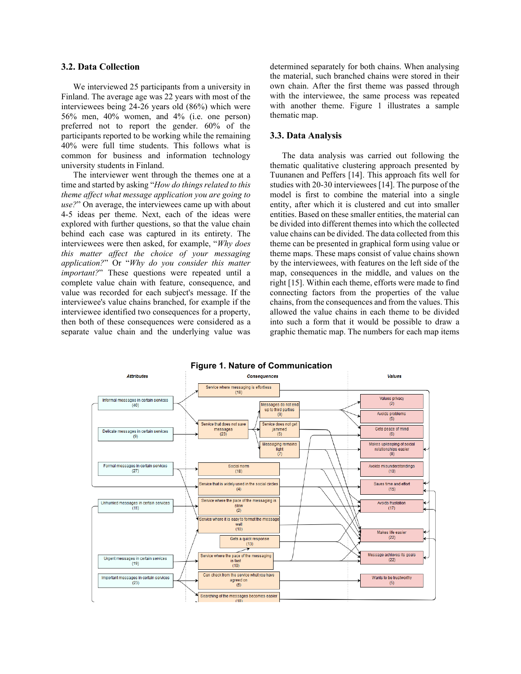#### **3.2. Data Collection**

We interviewed 25 participants from a university in Finland. The average age was 22 years with most of the interviewees being 24-26 years old (86%) which were 56% men, 40% women, and 4% (i.e. one person) preferred not to report the gender. 60% of the participants reported to be working while the remaining 40% were full time students. This follows what is common for business and information technology university students in Finland.

The interviewer went through the themes one at a time and started by asking "*How do things related to this theme affect what message application you are going to use?*" On average, the interviewees came up with about 4-5 ideas per theme. Next, each of the ideas were explored with further questions, so that the value chain behind each case was captured in its entirety. The interviewees were then asked, for example, "*Why does this matter affect the choice of your messaging application?*" Or "*Why do you consider this matter important?*" These questions were repeated until a complete value chain with feature, consequence, and value was recorded for each subject's message. If the interviewee's value chains branched, for example if the interviewee identified two consequences for a property, then both of these consequences were considered as a separate value chain and the underlying value was determined separately for both chains. When analysing the material, such branched chains were stored in their own chain. After the first theme was passed through with the interviewee, the same process was repeated with another theme. Figure 1 illustrates a sample thematic map.

### **3.3. Data Analysis**

The data analysis was carried out following the thematic qualitative clustering approach presented by Tuunanen and Peffers [14]. This approach fits well for studies with 20-30 interviewees [14]. The purpose of the model is first to combine the material into a single entity, after which it is clustered and cut into smaller entities. Based on these smaller entities, the material can be divided into different themes into which the collected value chains can be divided. The data collected from this theme can be presented in graphical form using value or theme maps. These maps consist of value chains shown by the interviewees, with features on the left side of the map, consequences in the middle, and values on the right [15]. Within each theme, efforts were made to find connecting factors from the properties of the value chains, from the consequences and from the values. This allowed the value chains in each theme to be divided into such a form that it would be possible to draw a graphic thematic map. The numbers for each map items

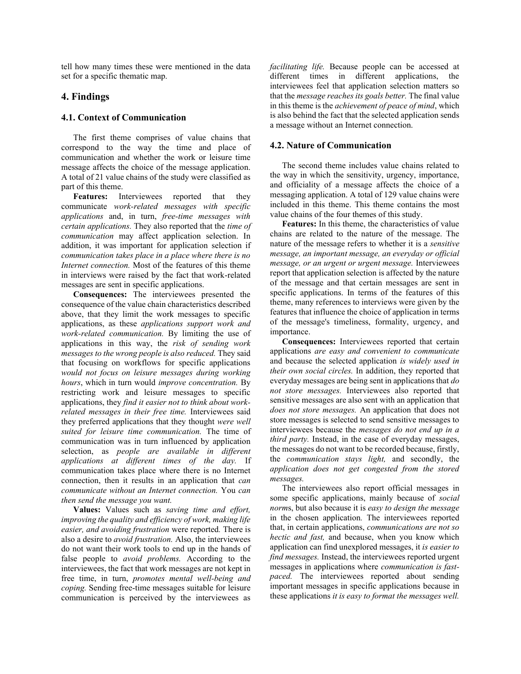tell how many times these were mentioned in the data set for a specific thematic map.

#### **4. Findings**

## **4.1. Context of Communication**

The first theme comprises of value chains that correspond to the way the time and place of communication and whether the work or leisure time message affects the choice of the message application. A total of 21 value chains of the study were classified as part of this theme.

Features: Interviewees reported that they communicate *work-related messages with specific applications* and, in turn, *free-time messages with certain applications.* They also reported that the *time of communication* may affect application selection. In addition, it was important for application selection if *communication takes place in a place where there is no Internet connection.* Most of the features of this theme in interviews were raised by the fact that work-related messages are sent in specific applications.

**Consequences:** The interviewees presented the consequence of the value chain characteristics described above, that they limit the work messages to specific applications, as these *applications support work and work-related communication.* By limiting the use of applications in this way, the *risk of sending work messages to the wrong people is also reduced.* They said that focusing on workflows for specific applications *would not focus on leisure messages during working hours*, which in turn would *improve concentration.* By restricting work and leisure messages to specific applications, they *find it easier not to think about workrelated messages in their free time.* Interviewees said they preferred applications that they thought *were well suited for leisure time communication.* The time of communication was in turn influenced by application selection, as *people are available in different applications at different times of the day.* If communication takes place where there is no Internet connection, then it results in an application that *can communicate without an Internet connection.* You *can then send the message you want.*

**Values:** Values such as *saving time and effort, improving the quality and efficiency of work, making life easier, and avoiding frustration* were reported*.* There is also a desire to *avoid frustration.* Also, the interviewees do not want their work tools to end up in the hands of false people to *avoid problems.* According to the interviewees, the fact that work messages are not kept in free time, in turn, *promotes mental well-being and coping.* Sending free-time messages suitable for leisure communication is perceived by the interviewees as *facilitating life.* Because people can be accessed at different times in different applications, the interviewees feel that application selection matters so that the *message reaches its goals better.* The final value in this theme is the *achievement of peace of mind*, which is also behind the fact that the selected application sends a message without an Internet connection.

## **4.2. Nature of Communication**

The second theme includes value chains related to the way in which the sensitivity, urgency, importance, and officiality of a message affects the choice of a messaging application. A total of 129 value chains were included in this theme. This theme contains the most value chains of the four themes of this study.

**Features:** In this theme, the characteristics of value chains are related to the nature of the message. The nature of the message refers to whether it is a *sensitive message, an important message, an everyday or official message, or an urgent or urgent message.* Interviewees report that application selection is affected by the nature of the message and that certain messages are sent in specific applications. In terms of the features of this theme, many references to interviews were given by the features that influence the choice of application in terms of the message's timeliness, formality, urgency, and importance.

**Consequences:** Interviewees reported that certain applications *are easy and convenient to communicate* and because the selected application *is widely used in their own social circles.* In addition, they reported that everyday messages are being sent in applications that *do not store messages.* Interviewees also reported that sensitive messages are also sent with an application that *does not store messages.* An application that does not store messages is selected to send sensitive messages to interviewees because the *messages do not end up in a third party.* Instead, in the case of everyday messages, the messages do not want to be recorded because, firstly, the *communication stays light,* and secondly, the *application does not get congested from the stored messages.*

The interviewees also report official messages in some specific applications, mainly because of *social norm*s, but also because it is *easy to design the message* in the chosen application*.* The interviewees reported that, in certain applications, *communications are not so hectic and fast,* and because, when you know which application can find unexplored messages, it *is easier to find messages.* Instead, the interviewees reported urgent messages in applications where *communication is fastpaced.* The interviewees reported about sending important messages in specific applications because in these applications *it is easy to format the messages well.*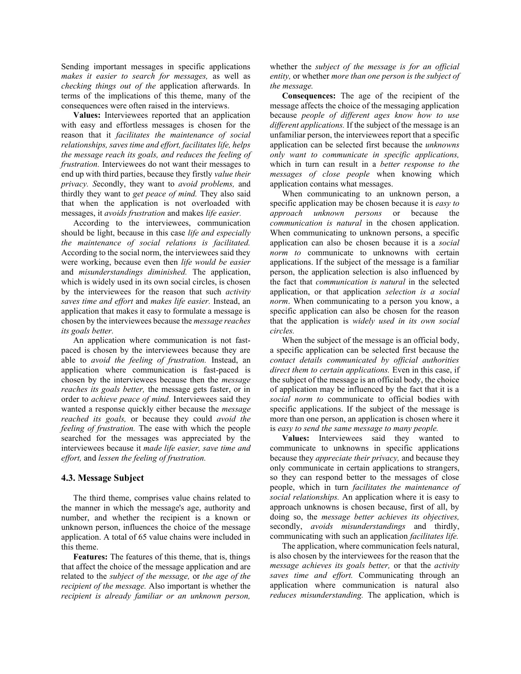Sending important messages in specific applications *makes it easier to search for messages,* as well as *checking things out of the* application afterwards. In terms of the implications of this theme, many of the consequences were often raised in the interviews.

**Values:** Interviewees reported that an application with easy and effortless messages is chosen for the reason that it *facilitates the maintenance of social relationships, saves time and effort, facilitates life, helps the message reach its goals, and reduces the feeling of frustration.* Interviewees do not want their messages to end up with third parties, because they firstly *value their privacy. S*econdly, they want to *avoid problems,* and thirdly they want to *get peace of mind.* They also said that when the application is not overloaded with messages, it *avoids frustration* and makes *life easier.*

According to the interviewees, communication should be light, because in this case *life and especially the maintenance of social relations is facilitated.* According to the social norm, the interviewees said they were working, because even then *life would be easier*  and *misunderstandings diminished.* The application, which is widely used in its own social circles, is chosen by the interviewees for the reason that such *activity saves time and effort* and *makes life easier.* Instead, an application that makes it easy to formulate a message is chosen by the interviewees because the *message reaches its goals better.* 

An application where communication is not fastpaced is chosen by the interviewees because they are able to *avoid the feeling of frustration.* Instead, an application where communication is fast-paced is chosen by the interviewees because then the *message reaches its goals better,* the message gets faster, or in order to *achieve peace of mind.* Interviewees said they wanted a response quickly either because the *message reached its goals,* or because they could *avoid the feeling of frustration.* The ease with which the people searched for the messages was appreciated by the interviewees because it *made life easier, save time and effort,* and *lessen the feeling of frustration.*

#### **4.3. Message Subject**

The third theme, comprises value chains related to the manner in which the message's age, authority and number, and whether the recipient is a known or unknown person, influences the choice of the message application. A total of 65 value chains were included in this theme.

**Features:** The features of this theme, that is, things that affect the choice of the message application and are related to the *subject of the message,* or *the age of the recipient of the message.* Also important is whether the *recipient is already familiar or an unknown person,*

whether the *subject of the message is for an official entity,* or whether *more than one person is the subject of the message.*

**Consequences:** The age of the recipient of the message affects the choice of the messaging application because *people of different ages know how to use different applications.* If the subject of the message is an unfamiliar person, the interviewees report that a specific application can be selected first because the *unknowns only want to communicate in specific applications,* which in turn can result in a *better response to the messages of close people* when knowing which application contains what messages.

When communicating to an unknown person, a specific application may be chosen because it is *easy to approach unknown persons* or because the *communication is natural* in the chosen application. When communicating to unknown persons, a specific application can also be chosen because it is a *social norm to* communicate to unknowns with certain applications. If the subject of the message is a familiar person, the application selection is also influenced by the fact that *communication is natural* in the selected application, or that application *selection is a social norm*. When communicating to a person you know, a specific application can also be chosen for the reason that the application is *widely used in its own social circles.*

When the subject of the message is an official body, a specific application can be selected first because the *contact details communicated by official authorities direct them to certain applications.* Even in this case, if the subject of the message is an official body, the choice of application may be influenced by the fact that it is a *social norm to* communicate to official bodies with specific applications. If the subject of the message is more than one person, an application is chosen where it is *easy to send the same message to many people.*

**Values:** Interviewees said they wanted to communicate to unknowns in specific applications because they *appreciate their privacy,* and because they only communicate in certain applications to strangers, so they can respond better to the messages of close people, which in turn *facilitates the maintenance of social relationships.* An application where it is easy to approach unknowns is chosen because, first of all, by doing so, the *message better achieves its objectives,* secondly, *avoids misunderstandings* and thirdly, communicating with such an application *facilitates life.* 

The application, where communication feels natural, is also chosen by the interviewees for the reason that the *message achieves its goals better,* or that the *activity saves time and effort.* Communicating through an application where communication is natural also *reduces misunderstanding.* The application, which is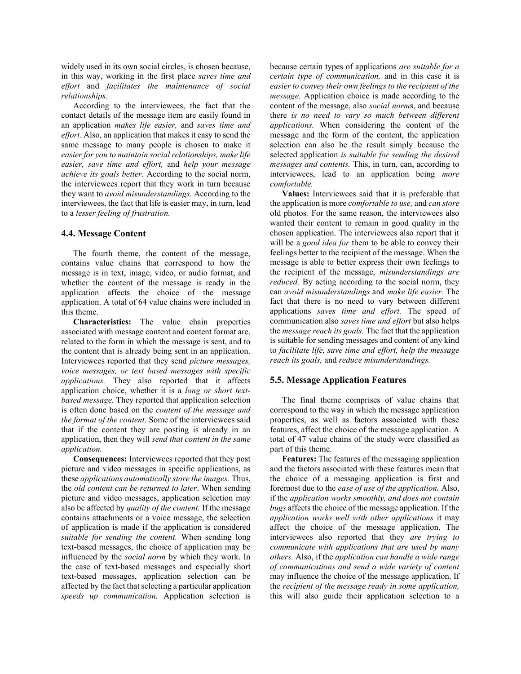widely used in its own social circles, is chosen because, in this way, working in the first place *saves time and effort* and *facilitates the maintenance of social relationships.* 

According to the interviewees, the fact that the contact details of the message item are easily found in an application *makes life easier,* and *saves time and effort.* Also, an application that makes it easy to send the same message to many people is chosen to make it *easier for you to maintain social relationships, make life easier, save time and effort,* and *help your message achieve its goals better.* According to the social norm, the interviewees report that they work in turn because they want to *avoid misunderstandings.* According to the interviewees, the fact that life is easier may, in turn, lead to a *lesser feeling of frustration.*

#### **4.4. Message Content**

The fourth theme, the content of the message, contains value chains that correspond to how the message is in text, image, video, or audio format, and whether the content of the message is ready in the application affects the choice of the message application. A total of 64 value chains were included in this theme.

**Characteristics:** The value chain properties associated with message content and content format are, related to the form in which the message is sent, and to the content that is already being sent in an application. Interviewees reported that they send *picture messages, voice messages, or text based messages with specific applications.* They also reported that it affects application choice, whether it is a *long or short textbased message.* They reported that application selection is often done based on the *content of the message and the format of the content*. Some of the interviewees said that if the content they are posting is already in an application, then they will *send that content in the same application.* 

**Consequences:** Interviewees reported that they post picture and video messages in specific applications, as these *applications automatically store the images.* Thus, the *old content can be returned to later*. When sending picture and video messages, application selection may also be affected by *quality of the content.* If the message contains attachments or a voice message, the selection of application is made if the application is considered *suitable for sending the content.* When sending long text-based messages, the choice of application may be influenced by the *social norm* by which they work. In the case of text-based messages and especially short text-based messages, application selection can be affected by the fact that selecting a particular application *speeds up communication.* Application selection is because certain types of applications *are suitable for a certain type of communication,* and in this case it is *easier to convey their own feelings to the recipient of the message.* Application choice is made according to the content of the message, also *social norm*s, and because there *is no need to vary so much between different applications.* When considering the content of the message and the form of the content, the application selection can also be the result simply because the selected application *is suitable for sending the desired messages and contents.* This, in turn, can, according to interviewees, lead to an application being *more comfortable.*

**Values:** Interviewees said that it is preferable that the application is more *comfortable to use,* and *can store*  old photos*.* For the same reason, the interviewees also wanted their content to remain in good quality in the chosen application. The interviewees also report that it will be a *good idea for* them to be able to convey their feelings better to the recipient of the message. When the message is able to better express their own feelings to the recipient of the message, *misunderstandings are reduced.* By acting according to the social norm, they can *avoid misunderstandings* and *make life easier.* The fact that there is no need to vary between different applications *saves time and effort.* The speed of communication also *saves time and effort* but also helps the *message reach its goals.* The fact that the application is suitable for sending messages and content of any kind to *facilitate life, save time and effort, help the message reach its goals,* and *reduce misunderstandings.* 

## **5.5. Message Application Features**

The final theme comprises of value chains that correspond to the way in which the message application properties, as well as factors associated with these features, affect the choice of the message application. A total of 47 value chains of the study were classified as part of this theme.

**Features:** The features of the messaging application and the factors associated with these features mean that the choice of a messaging application is first and foremost due to the *ease of use of the application.* Also, if the *application works smoothly, and does not contain bugs* affects the choice of the message application. If the *application works well with other applications* it may affect the choice of the message application. The interviewees also reported that they *are trying to communicate with applications that are used by many others.* Also, if the *application can handle a wide range of communications and send a wide variety of content* may influence the choice of the message application. If the *recipient of the message ready in some application,* this will also guide their application selection to a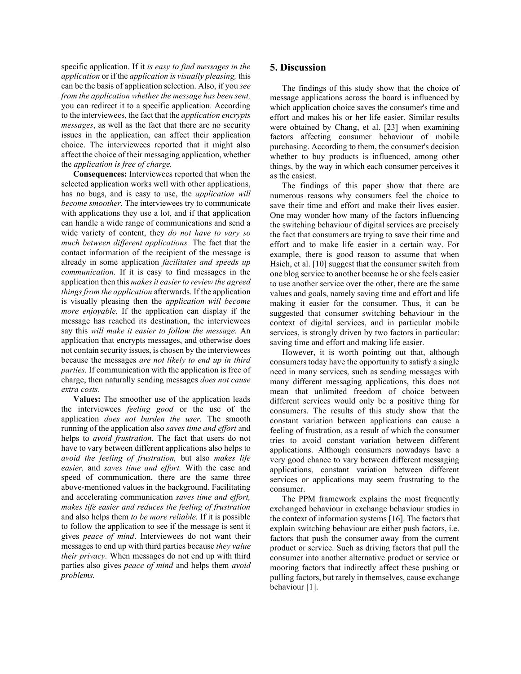specific application. If it *is easy to find messages in the application* or if the *application is visually pleasing,* this can be the basis of application selection. Also, if you *see from the application whether the message has been sent,* you can redirect it to a specific application. According to the interviewees, the fact that the *application encrypts messages*, as well as the fact that there are no security issues in the application, can affect their application choice. The interviewees reported that it might also affect the choice of their messaging application, whether the *application is free of charge.*

**Consequences:** Interviewees reported that when the selected application works well with other applications, has no bugs, and is easy to use, the *application will become smoother.* The interviewees try to communicate with applications they use a lot, and if that application can handle a wide range of communications and send a wide variety of content, they *do not have to vary so much between different applications.* The fact that the contact information of the recipient of the message is already in some application *facilitates and speeds up communication.* If it is easy to find messages in the application then this *makes it easier to review the agreed things from the application* afterwards. If the application is visually pleasing then the *application will become more enjoyable.* If the application can display if the message has reached its destination, the interviewees say this *will make it easier to follow the message.* An application that encrypts messages, and otherwise does not contain security issues, is chosen by the interviewees because the messages *are not likely to end up in third parties.* If communication with the application is free of charge, then naturally sending messages *does not cause extra costs*.

**Values:** The smoother use of the application leads the interviewees *feeling good* or the use of the application *does not burden the user.* The smooth running of the application also *saves time and effort* and helps to *avoid frustration.* The fact that users do not have to vary between different applications also helps to *avoid the feeling of frustration,* but also *makes life easier,* and *saves time and effort.* With the ease and speed of communication, there are the same three above-mentioned values in the background. Facilitating and accelerating communication *saves time and effort, makes life easier and reduces the feeling of frustration*  and also helps them *to be more reliable.* If it is possible to follow the application to see if the message is sent it gives *peace of mind*. Interviewees do not want their messages to end up with third parties because *they value their privacy.* When messages do not end up with third parties also gives *peace of mind* and helps them *avoid problems.*

#### **5. Discussion**

The findings of this study show that the choice of message applications across the board is influenced by which application choice saves the consumer's time and effort and makes his or her life easier. Similar results were obtained by Chang, et al. [23] when examining factors affecting consumer behaviour of mobile purchasing. According to them, the consumer's decision whether to buy products is influenced, among other things, by the way in which each consumer perceives it as the easiest.

The findings of this paper show that there are numerous reasons why consumers feel the choice to save their time and effort and make their lives easier. One may wonder how many of the factors influencing the switching behaviour of digital services are precisely the fact that consumers are trying to save their time and effort and to make life easier in a certain way. For example, there is good reason to assume that when Hsieh, et al. [10] suggest that the consumer switch from one blog service to another because he or she feels easier to use another service over the other, there are the same values and goals, namely saving time and effort and life making it easier for the consumer. Thus, it can be suggested that consumer switching behaviour in the context of digital services, and in particular mobile services, is strongly driven by two factors in particular: saving time and effort and making life easier.

However, it is worth pointing out that, although consumers today have the opportunity to satisfy a single need in many services, such as sending messages with many different messaging applications, this does not mean that unlimited freedom of choice between different services would only be a positive thing for consumers. The results of this study show that the constant variation between applications can cause a feeling of frustration, as a result of which the consumer tries to avoid constant variation between different applications. Although consumers nowadays have a very good chance to vary between different messaging applications, constant variation between different services or applications may seem frustrating to the consumer.

The PPM framework explains the most frequently exchanged behaviour in exchange behaviour studies in the context of information systems [16]. The factors that explain switching behaviour are either push factors, i.e. factors that push the consumer away from the current product or service. Such as driving factors that pull the consumer into another alternative product or service or mooring factors that indirectly affect these pushing or pulling factors, but rarely in themselves, cause exchange behaviour [1].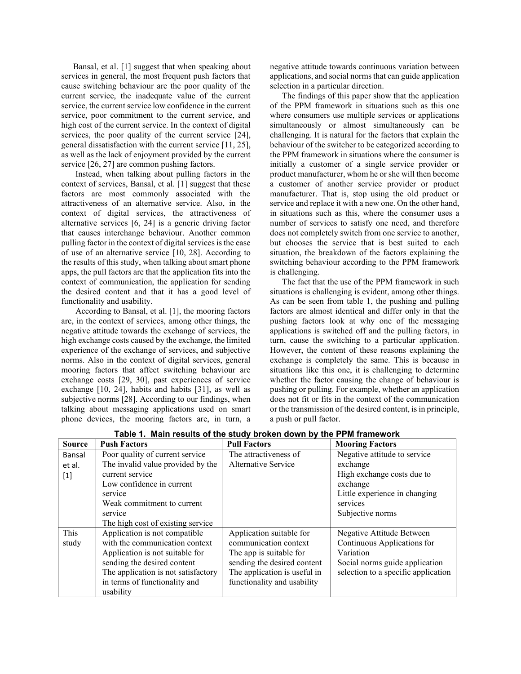Bansal, et al. [1] suggest that when speaking about services in general, the most frequent push factors that cause switching behaviour are the poor quality of the current service, the inadequate value of the current service, the current service low confidence in the current service, poor commitment to the current service, and high cost of the current service. In the context of digital services, the poor quality of the current service [24], general dissatisfaction with the current service [11, 25], as well as the lack of enjoyment provided by the current service [26, 27] are common pushing factors.

Instead, when talking about pulling factors in the context of services, Bansal, et al. [1] suggest that these factors are most commonly associated with the attractiveness of an alternative service. Also, in the context of digital services, the attractiveness of alternative services [6, 24] is a generic driving factor that causes interchange behaviour. Another common pulling factor in the context of digital services is the ease of use of an alternative service [10, 28]. According to the results of this study, when talking about smart phone apps, the pull factors are that the application fits into the context of communication, the application for sending the desired content and that it has a good level of functionality and usability.

According to Bansal, et al. [1], the mooring factors are, in the context of services, among other things, the negative attitude towards the exchange of services, the high exchange costs caused by the exchange, the limited experience of the exchange of services, and subjective norms. Also in the context of digital services, general mooring factors that affect switching behaviour are exchange costs [29, 30], past experiences of service exchange [10, 24], habits and habits [31], as well as subjective norms [28]. According to our findings, when talking about messaging applications used on smart phone devices, the mooring factors are, in turn, a

negative attitude towards continuous variation between applications, and social norms that can guide application selection in a particular direction.

The findings of this paper show that the application of the PPM framework in situations such as this one where consumers use multiple services or applications simultaneously or almost simultaneously can be challenging. It is natural for the factors that explain the behaviour of the switcher to be categorized according to the PPM framework in situations where the consumer is initially a customer of a single service provider or product manufacturer, whom he or she will then become a customer of another service provider or product manufacturer. That is, stop using the old product or service and replace it with a new one. On the other hand, in situations such as this, where the consumer uses a number of services to satisfy one need, and therefore does not completely switch from one service to another, but chooses the service that is best suited to each situation, the breakdown of the factors explaining the switching behaviour according to the PPM framework is challenging.

The fact that the use of the PPM framework in such situations is challenging is evident, among other things. As can be seen from table 1, the pushing and pulling factors are almost identical and differ only in that the pushing factors look at why one of the messaging applications is switched off and the pulling factors, in turn, cause the switching to a particular application. However, the content of these reasons explaining the exchange is completely the same. This is because in situations like this one, it is challenging to determine whether the factor causing the change of behaviour is pushing or pulling. For example, whether an application does not fit or fits in the context of the communication or the transmission of the desired content, is in principle, a push or pull factor.

| <b>Source</b> | <b>Push Factors</b>                 | <b>Pull Factors</b>          | <b>Mooring Factors</b>              |
|---------------|-------------------------------------|------------------------------|-------------------------------------|
| Bansal        | Poor quality of current service     | The attractiveness of        | Negative attitude to service        |
| et al.        | The invalid value provided by the   | Alternative Service          | exchange                            |
| $[1]$         | current service                     |                              | High exchange costs due to          |
|               | Low confidence in current           |                              | exchange                            |
|               | service                             |                              | Little experience in changing       |
|               | Weak commitment to current          |                              | services                            |
|               | service                             |                              | Subjective norms                    |
|               | The high cost of existing service   |                              |                                     |
| This          | Application is not compatible       | Application suitable for     | Negative Attitude Between           |
| study         | with the communication context      | communication context        | Continuous Applications for         |
|               | Application is not suitable for     | The app is suitable for      | Variation                           |
|               | sending the desired content         | sending the desired content  | Social norms guide application      |
|               | The application is not satisfactory | The application is useful in | selection to a specific application |
|               | in terms of functionality and       | functionality and usability  |                                     |
|               | usability                           |                              |                                     |

**Table 1. Main results of the study broken down by the PPM framework**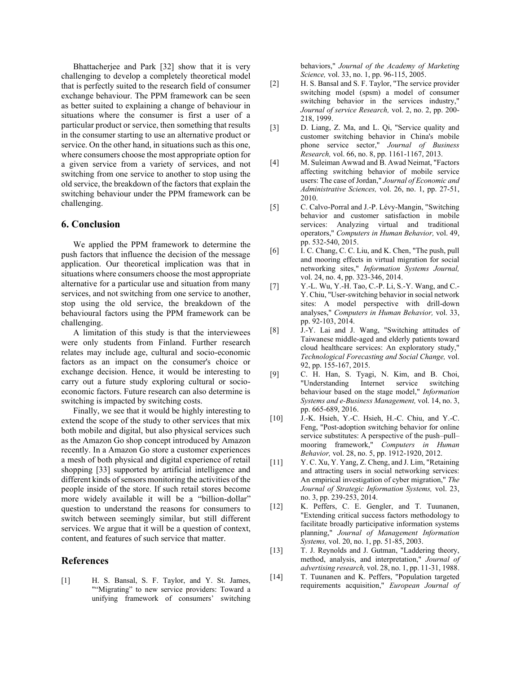Bhattacherjee and Park [32] show that it is very challenging to develop a completely theoretical model that is perfectly suited to the research field of consumer exchange behaviour. The PPM framework can be seen as better suited to explaining a change of behaviour in situations where the consumer is first a user of a particular product or service, then something that results in the consumer starting to use an alternative product or service. On the other hand, in situations such as this one, where consumers choose the most appropriate option for a given service from a variety of services, and not switching from one service to another to stop using the old service, the breakdown of the factors that explain the switching behaviour under the PPM framework can be challenging.

#### **6. Conclusion**

We applied the PPM framework to determine the push factors that influence the decision of the message application. Our theoretical implication was that in situations where consumers choose the most appropriate alternative for a particular use and situation from many services, and not switching from one service to another, stop using the old service, the breakdown of the behavioural factors using the PPM framework can be challenging.

A limitation of this study is that the interviewees were only students from Finland. Further research relates may include age, cultural and socio-economic factors as an impact on the consumer's choice or exchange decision. Hence, it would be interesting to carry out a future study exploring cultural or socioeconomic factors. Future research can also determine is switching is impacted by switching costs.

Finally, we see that it would be highly interesting to extend the scope of the study to other services that mix both mobile and digital, but also physical services such as the Amazon Go shop concept introduced by Amazon recently. In a Amazon Go store a customer experiences a mesh of both physical and digital experience of retail shopping [33] supported by artificial intelligence and different kinds of sensors monitoring the activities of the people inside of the store. If such retail stores become more widely available it will be a "billion-dollar" question to understand the reasons for consumers to switch between seemingly similar, but still different services. We argue that it will be a question of context, content, and features of such service that matter.

#### **References**

[1] H. S. Bansal, S. F. Taylor, and Y. St. James, ""Migrating" to new service providers: Toward a unifying framework of consumers' switching behaviors," *Journal of the Academy of Marketing Science,* vol. 33, no. 1, pp. 96-115, 2005.

- [2] H. S. Bansal and S. F. Taylor, "The service provider switching model (spsm) a model of consumer switching behavior in the services industry," *Journal of service Research,* vol. 2, no. 2, pp. 200- 218, 1999.
- [3] D. Liang, Z. Ma, and L. Qi, "Service quality and customer switching behavior in China's mobile phone service sector," *Journal of Business Research,* vol. 66, no. 8, pp. 1161-1167, 2013.
- [4] M. Suleiman Awwad and B. Awad Neimat, "Factors affecting switching behavior of mobile service users: The case of Jordan," *Journal of Economic and Administrative Sciences,* vol. 26, no. 1, pp. 27-51, 2010.
- [5] C. Calvo-Porral and J.-P. Lévy-Mangin, "Switching behavior and customer satisfaction in mobile services: Analyzing virtual and traditional operators," *Computers in Human Behavior,* vol. 49, pp. 532-540, 2015.
- [6] I. C. Chang, C. C. Liu, and K. Chen, "The push, pull and mooring effects in virtual migration for social networking sites," *Information Systems Journal,*  vol. 24, no. 4, pp. 323-346, 2014.
- [7] Y.-L. Wu, Y.-H. Tao, C.-P. Li, S.-Y. Wang, and C.- Y. Chiu, "User-switching behavior in social network sites: A model perspective with drill-down analyses," *Computers in Human Behavior,* vol. 33, pp. 92-103, 2014.
- [8] J.-Y. Lai and J. Wang, "Switching attitudes of Taiwanese middle-aged and elderly patients toward cloud healthcare services: An exploratory study," *Technological Forecasting and Social Change,* vol. 92, pp. 155-167, 2015.
- [9] C. H. Han, S. Tyagi, N. Kim, and B. Choi, "Understanding Internet service switching behaviour based on the stage model," *Information Systems and e-Business Management,* vol. 14, no. 3, pp. 665-689, 2016.
- [10] J.-K. Hsieh, Y.-C. Hsieh, H.-C. Chiu, and Y.-C. Feng, "Post-adoption switching behavior for online service substitutes: A perspective of the push–pull– mooring framework," *Computers in Human Behavior,* vol. 28, no. 5, pp. 1912-1920, 2012.
- [11] Y. C. Xu, Y. Yang, Z. Cheng, and J. Lim, "Retaining and attracting users in social networking services: An empirical investigation of cyber migration," *The Journal of Strategic Information Systems,* vol. 23, no. 3, pp. 239-253, 2014.
- [12] K. Peffers, C. E. Gengler, and T. Tuunanen, "Extending critical success factors methodology to facilitate broadly participative information systems planning," *Journal of Management Information Systems,* vol. 20, no. 1, pp. 51-85, 2003.
- [13] T. J. Reynolds and J. Gutman, "Laddering theory, method, analysis, and interpretation," *Journal of advertising research,* vol. 28, no. 1, pp. 11-31, 1988.
- [14] T. Tuunanen and K. Peffers, "Population targeted requirements acquisition," *European Journal of*